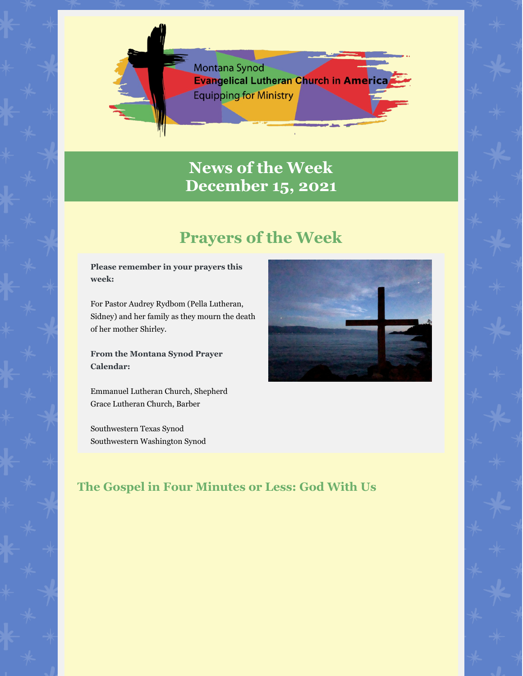

# **News of the Week December 15, 2021**

# **Prayers of the Week**

**Please remember in your prayers this week:**

For Pastor Audrey Rydbom (Pella Lutheran, Sidney) and her family as they mourn the death of her mother Shirley.

**From the Montana Synod Prayer Calendar:**

Emmanuel Lutheran Church, Shepherd Grace Lutheran Church, Barber

Southwestern Texas Synod Southwestern Washington Synod



# **The Gospel in Four Minutes or Less: God With Us**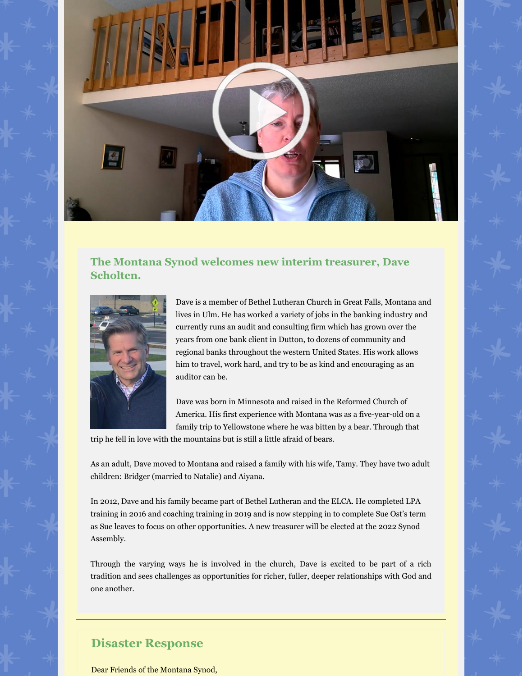

## **The Montana Synod welcomes new interim treasurer, Dave Scholten.**



Dave is a member of Bethel Lutheran Church in Great Falls, Montana and lives in Ulm. He has worked a variety of jobs in the banking industry and currently runs an audit and consulting firm which has grown over the years from one bank client in Dutton, to dozens of community and regional banks throughout the western United States. His work allows him to travel, work hard, and try to be as kind and encouraging as an auditor can be.

Dave was born in Minnesota and raised in the Reformed Church of America. His first experience with Montana was as a five-year-old on a family trip to Yellowstone where he was bitten by a bear. Through that

trip he fell in love with the mountains but is still a little afraid of bears.

As an adult, Dave moved to Montana and raised a family with his wife, Tamy. They have two adult children: Bridger (married to Natalie) and Aiyana.

In 2012, Dave and his family became part of Bethel Lutheran and the ELCA. He completed LPA training in 2016 and coaching training in 2019 and is now stepping in to complete Sue Ost's term as Sue leaves to focus on other opportunities. A new treasurer will be elected at the 2022 Synod Assembly.

Through the varying ways he is involved in the church, Dave is excited to be part of a rich tradition and sees challenges as opportunities for richer, fuller, deeper relationships with God and one another.

### **Disaster Response**

Dear Friends of the Montana Synod,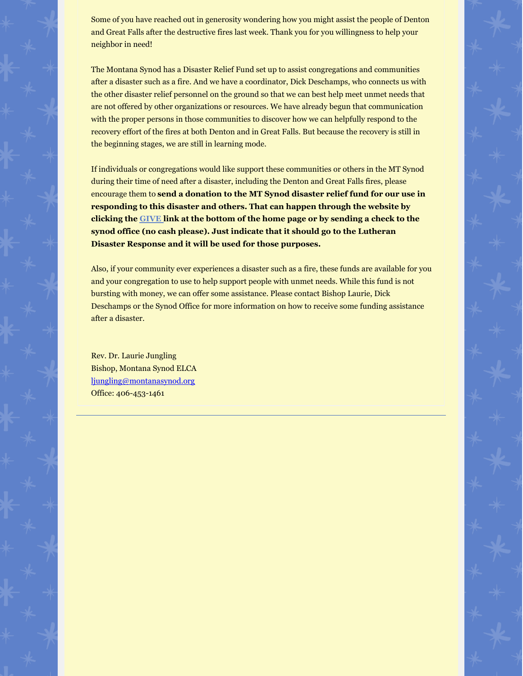Some of you have reached out in generosity wondering how you might assist the people of Denton and Great Falls after the destructive fires last week. Thank you for you willingness to help your neighbor in need!

The Montana Synod has a Disaster Relief Fund set up to assist congregations and communities after a disaster such as a fire. And we have a coordinator, Dick Deschamps, who connects us with the other disaster relief personnel on the ground so that we can best help meet unmet needs that are not offered by other organizations or resources. We have already begun that communication with the proper persons in those communities to discover how we can helpfully respond to the recovery effort of the fires at both Denton and in Great Falls. But because the recovery is still in the beginning stages, we are still in learning mode.

If individuals or congregations would like support these communities or others in the MT Synod during their time of need after a disaster, including the Denton and Great Falls fires, please encourage them to **send a donation to the MT Synod disaster relief fund for our use in responding to this disaster and others. That can happen through the website by clicking the GIVE link at the bottom of the home page or by sending a check to the synod office (no cash please). Just indicate that it should go to the Lutheran Disaster Response and it will be used for those purposes.**

Also, if your community ever experiences a disaster such as a fire, these funds are available for you and your congregation to use to help support people with unmet needs. While this fund is not bursting with money, we can offer some assistance. Please contact Bishop Laurie, Dick Deschamps or the Synod Office for more information on how to receive some funding assistance after a disaster.

Rev. Dr. Laurie Jungling Bishop, Montana Synod ELCA ljungling@montanasynod.org Office: 406-453-1461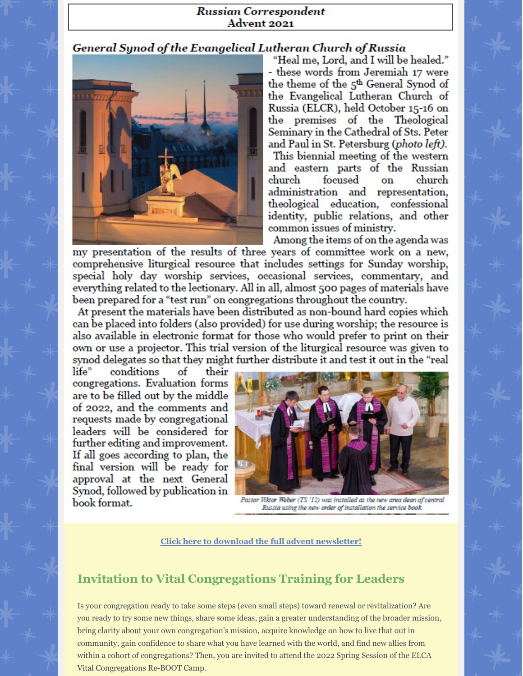#### **Russian Correspondent** Advent 2021

### General Synod of the Evangelical Lutheran Church of Russia



"Heal me, Lord, and I will be healed." - these words from Jeremiah 17 were the theme of the 5<sup>th</sup> General Synod of the Evangelical Lutheran Church of Russia (ELCR), held October 15-16 on the premises of the Theological Seminary in the Cathedral of Sts. Peter and Paul in St. Petersburg (photo left). This biennial meeting of the western and eastern parts of the Russian focused church church on

administration and representation, theological education, confessional identity, public relations, and other common issues of ministry.

Among the items of on the agenda was

my presentation of the results of three years of committee work on a new, comprehensive liturgical resource that includes settings for Sunday worship, special holy day worship services, occasional services, commentary, and everything related to the lectionary. All in all, almost 500 pages of materials have been prepared for a "test run" on congregations throughout the country.

At present the materials have been distributed as non-bound hard copies which can be placed into folders (also provided) for use during worship; the resource is also available in electronic format for those who would prefer to print on their own or use a projector. This trial version of the liturgical resource was given to synod delegates so that they might further distribute it and test it out in the "real

life" conditions of their congregations. Evaluation forms are to be filled out by the middle of 2022, and the comments and requests made by congregational leaders will be considered for further editing and improvement. If all goes according to plan, the final version will be ready for approval at the next General Synod, followed by publication in book format.



Pastor Viktor Weber (TS '12) was installed as the new area dean of central Russia using the new order of installation the service book.

**Click here to download the full advent newsletter!**

# **Invitation to Vital Congregations Training for Leaders**

Is your congregation ready to take some steps (even small steps) toward renewal or revitalization? Are you ready to try some new things, share some ideas, gain a greater understanding of the broader mission, bring clarity about your own congregation's mission, acquire knowledge on how to live that out in community, gain confidence to share what you have learned with the world, and find new allies from within a cohort of congregations? Then, you are invited to attend the 2022 Spring Session of the ELCA Vital Congregations Re-BOOT Camp.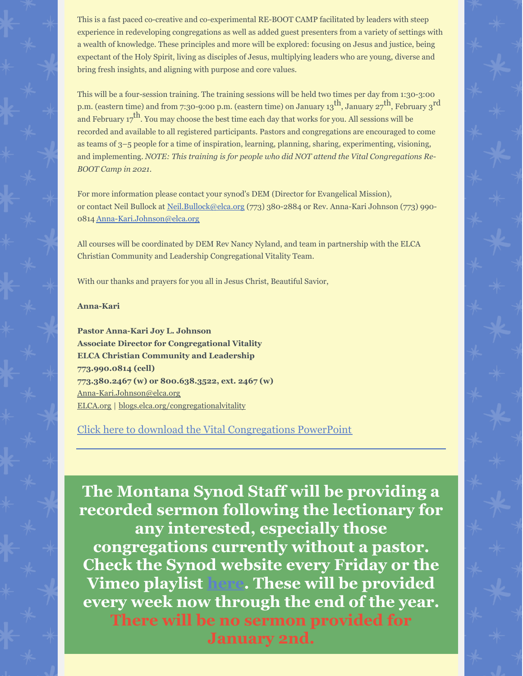This is a fast paced co-creative and co-experimental RE-BOOT CAMP facilitated by leaders with steep experience in redeveloping congregations as well as added guest presenters from a variety of settings with a wealth of knowledge. These principles and more will be explored: focusing on Jesus and justice, being expectant of the Holy Spirit, living as disciples of Jesus, multiplying leaders who are young, diverse and bring fresh insights, and aligning with purpose and core values.

This will be a four-session training. The training sessions will be held two times per day from 1:30-3:00 p.m. (eastern time) and from 7:30-9:00 p.m. (eastern time) on January 13<sup>th</sup>, January 27<sup>th</sup>, February 3<sup>rd</sup> and February  $17^{\text{th}}$ . You may choose the best time each day that works for you. All sessions will be recorded and available to all registered participants. Pastors and congregations are encouraged to come as teams of 3–5 people for a time of inspiration, learning, planning, sharing, experimenting, visioning, and implementing. *NOTE: This training is for people who did NOT attend the Vital Congregations Re-BOOT Camp in 2021.*

For more information please contact your synod's DEM (Director for Evangelical Mission), or contact Neil Bullock at Neil.Bullock@elca.org (773) 380-2884 or Rev. Anna-Kari Johnson (773) 990- 0814 Anna-Kari.Johnson@elca.org

All courses will be coordinated by DEM Rev Nancy Nyland, and team in partnership with the ELCA Christian Community and Leadership Congregational Vitality Team.

With our thanks and prayers for you all in Jesus Christ, Beautiful Savior,

#### **Anna-Kari**

**Pastor Anna-Kari Joy L. Johnson Associate Director for Congregational Vitality ELCA Christian Community and Leadership 773.990.0814 (cell) 773.380.2467 (w) or 800.638.3522, ext. 2467 (w)** Anna-Kari.Johnson@elca.org ELCA.org | blogs.elca.org/congregationalvitality

## Click here to download the Vital Congregations PowerPoint

**The Montana Synod Staff will be providing a recorded sermon following the lectionary for any interested, especially those congregations currently without a pastor. Check the Synod website every Friday or the Vimeo playlist here. These will be provided every week now through the end of the year. There will be no sermon provided for January 2nd.**